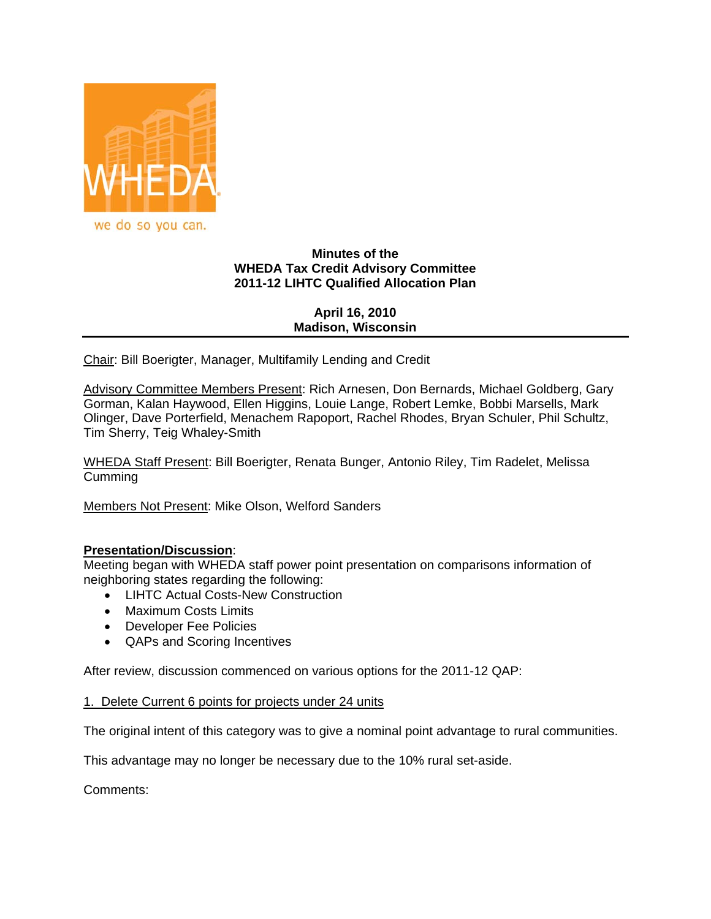

# **Minutes of the WHEDA Tax Credit Advisory Committee 2011-12 LIHTC Qualified Allocation Plan**

**April 16, 2010 Madison, Wisconsin**

Chair: Bill Boerigter, Manager, Multifamily Lending and Credit

Advisory Committee Members Present: Rich Arnesen, Don Bernards, Michael Goldberg, Gary Gorman, Kalan Haywood, Ellen Higgins, Louie Lange, Robert Lemke, Bobbi Marsells, Mark Olinger, Dave Porterfield, Menachem Rapoport, Rachel Rhodes, Bryan Schuler, Phil Schultz, Tim Sherry, Teig Whaley-Smith

WHEDA Staff Present: Bill Boerigter, Renata Bunger, Antonio Riley, Tim Radelet, Melissa **Cumming** 

Members Not Present: Mike Olson, Welford Sanders

# **Presentation/Discussion**:

Meeting began with WHEDA staff power point presentation on comparisons information of neighboring states regarding the following:

- LIHTC Actual Costs-New Construction
- Maximum Costs Limits
- Developer Fee Policies
- QAPs and Scoring Incentives

After review, discussion commenced on various options for the 2011-12 QAP:

### 1. Delete Current 6 points for projects under 24 units

The original intent of this category was to give a nominal point advantage to rural communities.

This advantage may no longer be necessary due to the 10% rural set-aside.

Comments: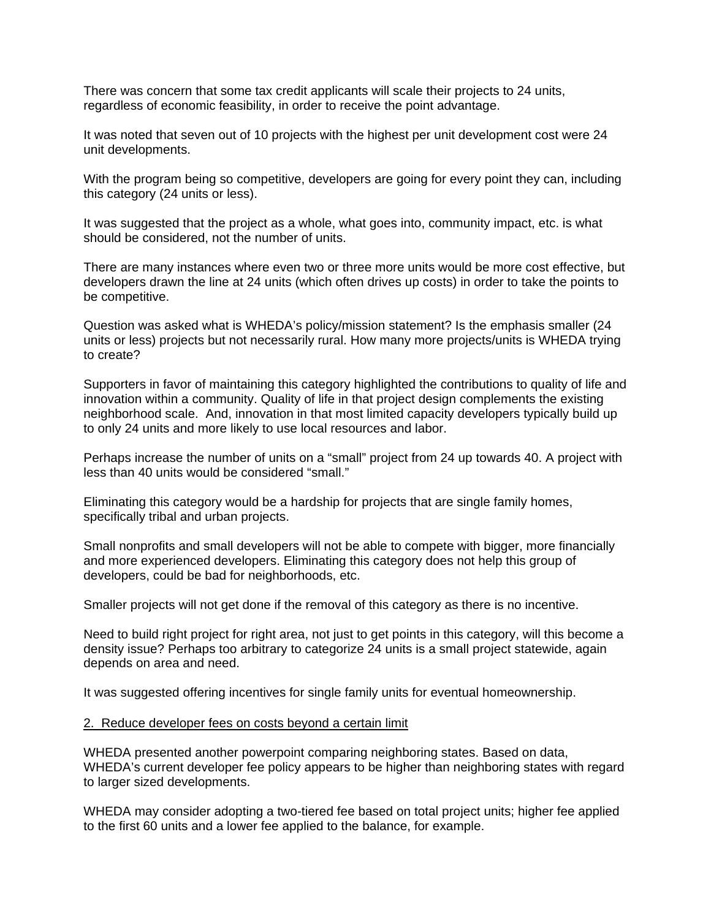There was concern that some tax credit applicants will scale their projects to 24 units, regardless of economic feasibility, in order to receive the point advantage.

It was noted that seven out of 10 projects with the highest per unit development cost were 24 unit developments.

With the program being so competitive, developers are going for every point they can, including this category (24 units or less).

It was suggested that the project as a whole, what goes into, community impact, etc. is what should be considered, not the number of units.

There are many instances where even two or three more units would be more cost effective, but developers drawn the line at 24 units (which often drives up costs) in order to take the points to be competitive.

Question was asked what is WHEDA's policy/mission statement? Is the emphasis smaller (24 units or less) projects but not necessarily rural. How many more projects/units is WHEDA trying to create?

Supporters in favor of maintaining this category highlighted the contributions to quality of life and innovation within a community. Quality of life in that project design complements the existing neighborhood scale. And, innovation in that most limited capacity developers typically build up to only 24 units and more likely to use local resources and labor.

Perhaps increase the number of units on a "small" project from 24 up towards 40. A project with less than 40 units would be considered "small."

Eliminating this category would be a hardship for projects that are single family homes, specifically tribal and urban projects.

Small nonprofits and small developers will not be able to compete with bigger, more financially and more experienced developers. Eliminating this category does not help this group of developers, could be bad for neighborhoods, etc.

Smaller projects will not get done if the removal of this category as there is no incentive.

Need to build right project for right area, not just to get points in this category, will this become a density issue? Perhaps too arbitrary to categorize 24 units is a small project statewide, again depends on area and need.

It was suggested offering incentives for single family units for eventual homeownership.

#### 2. Reduce developer fees on costs beyond a certain limit

WHEDA presented another powerpoint comparing neighboring states. Based on data, WHEDA's current developer fee policy appears to be higher than neighboring states with regard to larger sized developments.

WHEDA may consider adopting a two-tiered fee based on total project units; higher fee applied to the first 60 units and a lower fee applied to the balance, for example.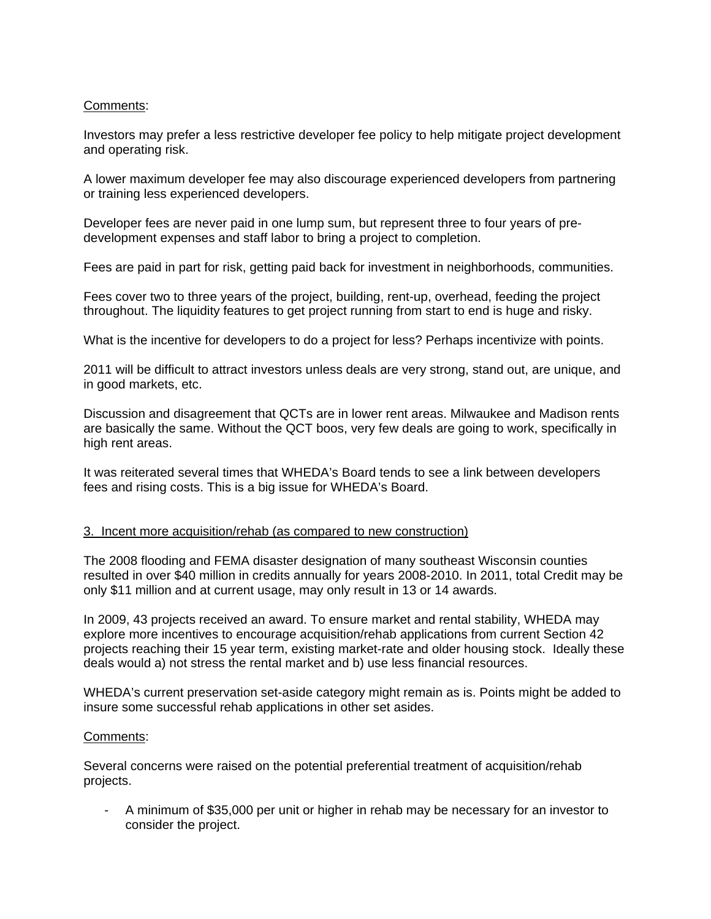# Comments:

Investors may prefer a less restrictive developer fee policy to help mitigate project development and operating risk.

A lower maximum developer fee may also discourage experienced developers from partnering or training less experienced developers.

Developer fees are never paid in one lump sum, but represent three to four years of predevelopment expenses and staff labor to bring a project to completion.

Fees are paid in part for risk, getting paid back for investment in neighborhoods, communities.

Fees cover two to three years of the project, building, rent-up, overhead, feeding the project throughout. The liquidity features to get project running from start to end is huge and risky.

What is the incentive for developers to do a project for less? Perhaps incentivize with points.

2011 will be difficult to attract investors unless deals are very strong, stand out, are unique, and in good markets, etc.

Discussion and disagreement that QCTs are in lower rent areas. Milwaukee and Madison rents are basically the same. Without the QCT boos, very few deals are going to work, specifically in high rent areas.

It was reiterated several times that WHEDA's Board tends to see a link between developers fees and rising costs. This is a big issue for WHEDA's Board.

### 3. Incent more acquisition/rehab (as compared to new construction)

The 2008 flooding and FEMA disaster designation of many southeast Wisconsin counties resulted in over \$40 million in credits annually for years 2008-2010. In 2011, total Credit may be only \$11 million and at current usage, may only result in 13 or 14 awards.

In 2009, 43 projects received an award. To ensure market and rental stability, WHEDA may explore more incentives to encourage acquisition/rehab applications from current Section 42 projects reaching their 15 year term, existing market-rate and older housing stock. Ideally these deals would a) not stress the rental market and b) use less financial resources.

WHEDA's current preservation set-aside category might remain as is. Points might be added to insure some successful rehab applications in other set asides.

### Comments:

Several concerns were raised on the potential preferential treatment of acquisition/rehab projects.

- A minimum of \$35,000 per unit or higher in rehab may be necessary for an investor to consider the project.